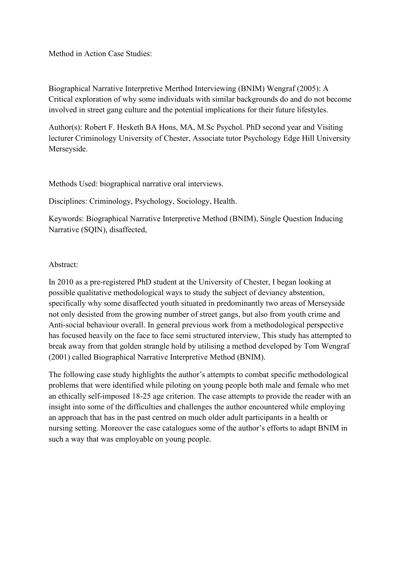Method in Action Case Studies:

Biographical Narrative Interpretive Merthod Interviewing (BNIM) Wengraf (2005): A Critical exploration of why some individuals with similar backgrounds do and do not become involved in street gang culture and the potential implications for their future lifestyles.

Author(s): Robert F. Hesketh BA Hons, MA, M.Sc Psychol. PhD second year and Visiting lecturer Criminology University of Chester, Associate tutor Psychology Edge Hill University Merseyside.

Methods Used: biographical narrative oral interviews.

Disciplines: Criminology, Psychology, Sociology, Health.

Keywords: Biographical Narrative Interpretive Method (BNIM), Single Question Inducing Narrative (SOIN), disaffected,

#### Abstract:

In 2010 as a pre-registered PhD student at the University of Chester, I began looking at possible qualitative methodological ways to study the subject of deviancy abstention, specifically why some disaffected youth situated in predominantly two areas of Merseyside not only desisted from the growing number of street gangs, but also from youth crime and Anti-social behaviour overall. In general previous work from a methodological perspective has focused heavily on the face to face semi structured interview, This study has attempted to break away from that golden strangle hold by utilising a method developed by Tom Wengraf (2001) called Biographical Narrative Interpretive Method (BNIM).

The following case study highlights the author's attempts to combat specific methodological problems that were identified while piloting on young people both male and female who met an ethically self-imposed 18-25 age criterion. The case attempts to provide the reader with an insight into some of the difficulties and challenges the author encountered while employing an approach that has in the past centred on much older adult participants in a health or nursing setting. Moreover the case catalogues some of the author's efforts to adapt BNIM in such a way that was employable on young people.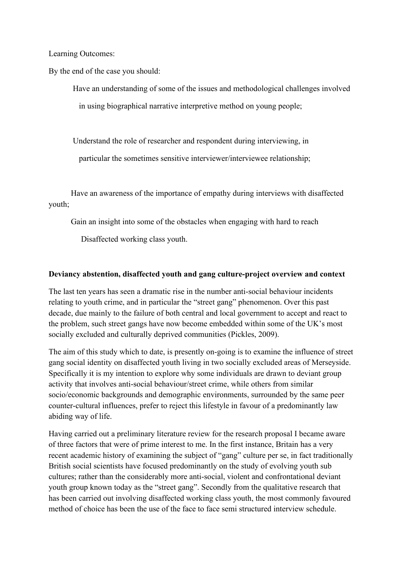Learning Outcomes:

By the end of the case you should:

 Have an understanding of some of the issues and methodological challenges involved in using biographical narrative interpretive method on young people;

Understand the role of researcher and respondent during interviewing, in

particular the sometimes sensitive interviewer/interviewee relationship;

 Have an awareness of the importance of empathy during interviews with disaffected youth;

Gain an insight into some of the obstacles when engaging with hard to reach

Disaffected working class youth.

#### **Deviancy abstention, disaffected youth and gang culture-project overview and context**

The last ten years has seen a dramatic rise in the number anti-social behaviour incidents relating to youth crime, and in particular the "street gang" phenomenon. Over this past decade, due mainly to the failure of both central and local government to accept and react to the problem, such street gangs have now become embedded within some of the UK's most socially excluded and culturally deprived communities (Pickles, 2009).

The aim of this study which to date, is presently on-going is to examine the influence of street gang social identity on disaffected youth living in two socially excluded areas of Merseyside. Specifically it is my intention to explore why some individuals are drawn to deviant group activity that involves anti-social behaviour/street crime, while others from similar socio/economic backgrounds and demographic environments, surrounded by the same peer counter-cultural influences, prefer to reject this lifestyle in favour of a predominantly law abiding way of life.

Having carried out a preliminary literature review for the research proposal I became aware of three factors that were of prime interest to me. In the first instance, Britain has a very recent academic history of examining the subject of "gang" culture per se, in fact traditionally British social scientists have focused predominantly on the study of evolving youth sub cultures; rather than the considerably more anti-social, violent and confrontational deviant youth group known today as the "street gang". Secondly from the qualitative research that has been carried out involving disaffected working class youth, the most commonly favoured method of choice has been the use of the face to face semi structured interview schedule.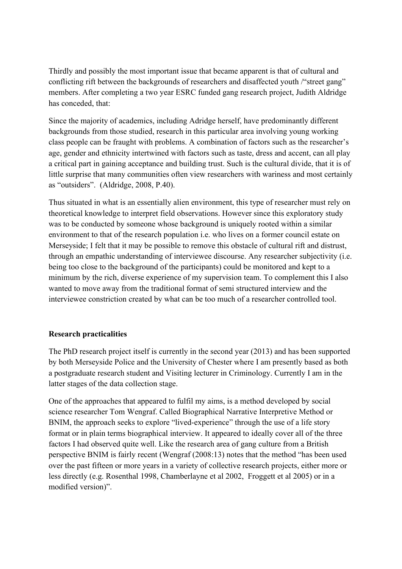Thirdly and possibly the most important issue that became apparent is that of cultural and conflicting rift between the backgrounds of researchers and disaffected youth /"street gang" members. After completing a two year ESRC funded gang research project, Judith Aldridge has conceded, that:

Since the majority of academics, including Adridge herself, have predominantly different backgrounds from those studied, research in this particular area involving young working class people can be fraught with problems. A combination of factors such as the researcher's age, gender and ethnicity intertwined with factors such as taste, dress and accent, can all play a critical part in gaining acceptance and building trust. Such is the cultural divide, that it is of little surprise that many communities often view researchers with wariness and most certainly as "outsiders". (Aldridge, 2008, P.40).

Thus situated in what is an essentially alien environment, this type of researcher must rely on theoretical knowledge to interpret field observations. However since this exploratory study was to be conducted by someone whose background is uniquely rooted within a similar environment to that of the research population i.e. who lives on a former council estate on Merseyside; I felt that it may be possible to remove this obstacle of cultural rift and distrust, through an empathic understanding of interviewee discourse. Any researcher subjectivity (i.e. being too close to the background of the participants) could be monitored and kept to a minimum by the rich, diverse experience of my supervision team. To complement this I also wanted to move away from the traditional format of semi structured interview and the interviewee constriction created by what can be too much of a researcher controlled tool.

## **Research practicalities**

The PhD research project itself is currently in the second year (2013) and has been supported by both Merseyside Police and the University of Chester where I am presently based as both a postgraduate research student and Visiting lecturer in Criminology. Currently I am in the latter stages of the data collection stage.

One of the approaches that appeared to fulfil my aims, is a method developed by social science researcher Tom Wengraf. Called Biographical Narrative Interpretive Method or BNIM, the approach seeks to explore "lived-experience" through the use of a life story format or in plain terms biographical interview. It appeared to ideally cover all of the three factors I had observed quite well. Like the research area of gang culture from a British perspective BNIM is fairly recent (Wengraf (2008:13) notes that the method "has been used over the past fifteen or more years in a variety of collective research projects, either more or less directly (e.g. Rosenthal 1998, Chamberlayne et al 2002, Froggett et al 2005) or in a modified version)".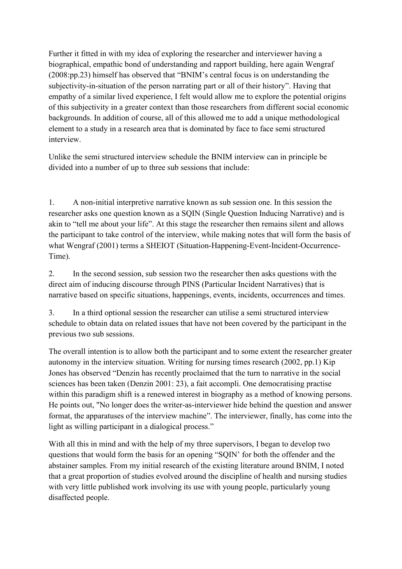Further it fitted in with my idea of exploring the researcher and interviewer having a biographical, empathic bond of understanding and rapport building, here again Wengraf (2008:pp.23) himself has observed that "BNIM's central focus is on understanding the subjectivity-in-situation of the person narrating part or all of their history". Having that empathy of a similar lived experience, I felt would allow me to explore the potential origins of this subjectivity in a greater context than those researchers from different social economic backgrounds. In addition of course, all of this allowed me to add a unique methodological element to a study in a research area that is dominated by face to face semi structured interview.

Unlike the semi structured interview schedule the BNIM interview can in principle be divided into a number of up to three sub sessions that include:

1. A non-initial interpretive narrative known as sub session one. In this session the researcher asks one question known as a SQIN (Single Question Inducing Narrative) and is akin to "tell me about your life". At this stage the researcher then remains silent and allows the participant to take control of the interview, while making notes that will form the basis of what Wengraf (2001) terms a SHEIOT (Situation-Happening-Event-Incident-Occurrence-Time).

2. In the second session, sub session two the researcher then asks questions with the direct aim of inducing discourse through PINS (Particular Incident Narratives) that is narrative based on specific situations, happenings, events, incidents, occurrences and times.

3. In a third optional session the researcher can utilise a semi structured interview schedule to obtain data on related issues that have not been covered by the participant in the previous two sub sessions.

The overall intention is to allow both the participant and to some extent the researcher greater autonomy in the interview situation. Writing for nursing times research (2002, pp.1) Kip Jones has observed "Denzin has recently proclaimed that the turn to narrative in the social sciences has been taken (Denzin 2001: 23), a fait accompli. One democratising practise within this paradigm shift is a renewed interest in biography as a method of knowing persons. He points out, "No longer does the writer-as-interviewer hide behind the question and answer format, the apparatuses of the interview machine". The interviewer, finally, has come into the light as willing participant in a dialogical process."

With all this in mind and with the help of my three supervisors, I began to develop two questions that would form the basis for an opening "SQIN' for both the offender and the abstainer samples. From my initial research of the existing literature around BNIM, I noted that a great proportion of studies evolved around the discipline of health and nursing studies with very little published work involving its use with young people, particularly young disaffected people.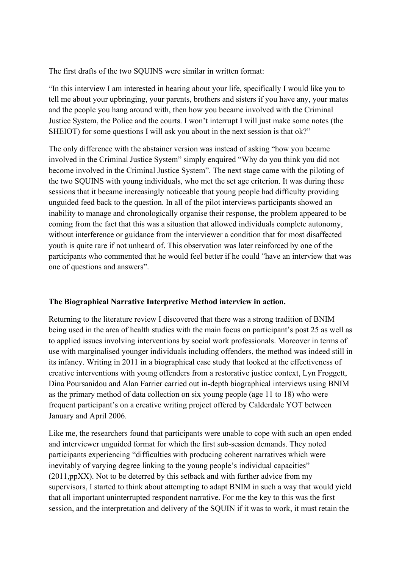The first drafts of the two SQUINS were similar in written format:

"In this interview I am interested in hearing about your life, specifically I would like you to tell me about your upbringing, your parents, brothers and sisters if you have any, your mates and the people you hang around with, then how you became involved with the Criminal Justice System, the Police and the courts. I won't interrupt I will just make some notes (the SHEIOT) for some questions I will ask you about in the next session is that ok?"

The only difference with the abstainer version was instead of asking "how you became involved in the Criminal Justice System" simply enquired "Why do you think you did not become involved in the Criminal Justice System". The next stage came with the piloting of the two SQUINS with young individuals, who met the set age criterion. It was during these sessions that it became increasingly noticeable that young people had difficulty providing unguided feed back to the question. In all of the pilot interviews participants showed an inability to manage and chronologically organise their response, the problem appeared to be coming from the fact that this was a situation that allowed individuals complete autonomy, without interference or guidance from the interviewer a condition that for most disaffected youth is quite rare if not unheard of. This observation was later reinforced by one of the participants who commented that he would feel better if he could "have an interview that was one of questions and answers".

## **The Biographical Narrative Interpretive Method interview in action.**

Returning to the literature review I discovered that there was a strong tradition of BNIM being used in the area of health studies with the main focus on participant's post 25 as well as to applied issues involving interventions by social work professionals. Moreover in terms of use with marginalised younger individuals including offenders, the method was indeed still in its infancy. Writing in 2011 in a biographical case study that looked at the effectiveness of creative interventions with young offenders from a restorative justice context, Lyn Froggett, Dina Poursanidou and Alan Farrier carried out in-depth biographical interviews using BNIM as the primary method of data collection on six young people (age 11 to 18) who were frequent participant's on a creative writing project offered by Calderdale YOT between January and April 2006.

Like me, the researchers found that participants were unable to cope with such an open ended and interviewer unguided format for which the first sub-session demands. They noted participants experiencing "difficulties with producing coherent narratives which were inevitably of varying degree linking to the young people's individual capacities" (2011,ppXX). Not to be deterred by this setback and with further advice from my supervisors, I started to think about attempting to adapt BNIM in such a way that would yield that all important uninterrupted respondent narrative. For me the key to this was the first session, and the interpretation and delivery of the SQUIN if it was to work, it must retain the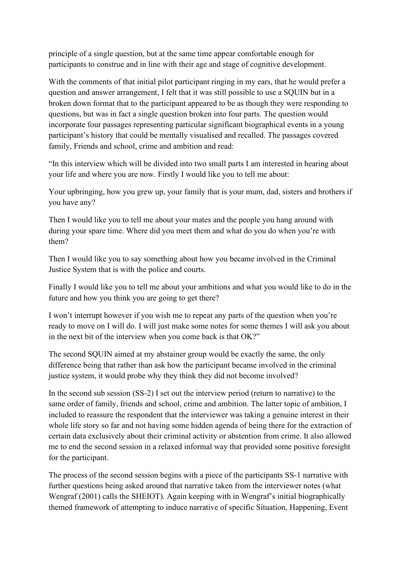principle of a single question, but at the same time appear comfortable enough for participants to construe and in line with their age and stage of cognitive development.

With the comments of that initial pilot participant ringing in my ears, that he would prefer a question and answer arrangement, I felt that it was still possible to use a SQUIN but in a broken down format that to the participant appeared to be as though they were responding to questions, but was in fact a single question broken into four parts. The question would incorporate four passages representing particular significant biographical events in a young participant's history that could be mentally visualised and recalled. The passages covered family, Friends and school, crime and ambition and read:

"In this interview which will be divided into two small parts I am interested in hearing about your life and where you are now. Firstly I would like you to tell me about:

Your upbringing, how you grew up, your family that is your mum, dad, sisters and brothers if you have any?

Then I would like you to tell me about your mates and the people you hang around with during your spare time. Where did you meet them and what do you do when you're with them?

Then I would like you to say something about how you became involved in the Criminal Justice System that is with the police and courts.

Finally I would like you to tell me about your ambitions and what you would like to do in the future and how you think you are going to get there?

I won't interrupt however if you wish me to repeat any parts of the question when you're ready to move on I will do. I will just make some notes for some themes I will ask you about in the next bit of the interview when you come back is that OK?"

The second SQUIN aimed at my abstainer group would be exactly the same, the only difference being that rather than ask how the participant became involved in the criminal justice system, it would probe why they think they did not become involved?

In the second sub session (SS-2) I set out the interview period (return to narrative) to the same order of family, friends and school, crime and ambition. The latter topic of ambition, I included to reassure the respondent that the interviewer was taking a genuine interest in their whole life story so far and not having some hidden agenda of being there for the extraction of certain data exclusively about their criminal activity or abstention from crime. It also allowed me to end the second session in a relaxed informal way that provided some positive foresight for the participant.

The process of the second session begins with a piece of the participants SS-1 narrative with further questions being asked around that narrative taken from the interviewer notes (what Wengraf (2001) calls the SHEIOT). Again keeping with in Wengraf's initial biographically themed framework of attempting to induce narrative of specific Situation, Happening, Event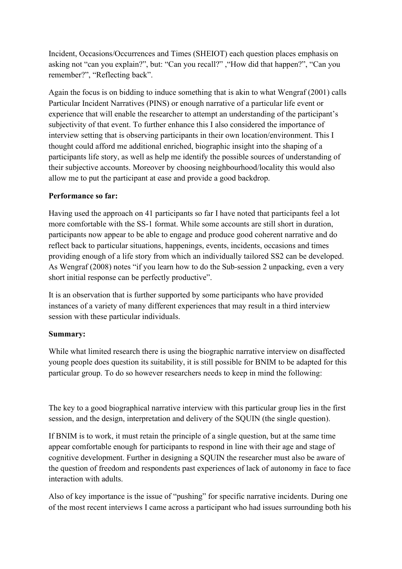Incident, Occasions/Occurrences and Times (SHEIOT) each question places emphasis on asking not "can you explain?", but: "Can you recall?" ,"How did that happen?", "Can you remember?", "Reflecting back".

Again the focus is on bidding to induce something that is akin to what Wengraf (2001) calls Particular Incident Narratives (PINS) or enough narrative of a particular life event or experience that will enable the researcher to attempt an understanding of the participant's subjectivity of that event. To further enhance this I also considered the importance of interview setting that is observing participants in their own location/environment. This I thought could afford me additional enriched, biographic insight into the shaping of a participants life story, as well as help me identify the possible sources of understanding of their subjective accounts. Moreover by choosing neighbourhood/locality this would also allow me to put the participant at ease and provide a good backdrop.

# **Performance so far:**

Having used the approach on 41 participants so far I have noted that participants feel a lot more comfortable with the SS-1 format. While some accounts are still short in duration, participants now appear to be able to engage and produce good coherent narrative and do reflect back to particular situations, happenings, events, incidents, occasions and times providing enough of a life story from which an individually tailored SS2 can be developed. As Wengraf (2008) notes "if you learn how to do the Sub-session 2 unpacking, even a very short initial response can be perfectly productive".

It is an observation that is further supported by some participants who have provided instances of a variety of many different experiences that may result in a third interview session with these particular individuals.

## **Summary:**

While what limited research there is using the biographic narrative interview on disaffected young people does question its suitability, it is still possible for BNIM to be adapted for this particular group. To do so however researchers needs to keep in mind the following:

The key to a good biographical narrative interview with this particular group lies in the first session, and the design, interpretation and delivery of the SQUIN (the single question).

If BNIM is to work, it must retain the principle of a single question, but at the same time appear comfortable enough for participants to respond in line with their age and stage of cognitive development. Further in designing a SQUIN the researcher must also be aware of the question of freedom and respondents past experiences of lack of autonomy in face to face interaction with adults.

Also of key importance is the issue of "pushing" for specific narrative incidents. During one of the most recent interviews I came across a participant who had issues surrounding both his